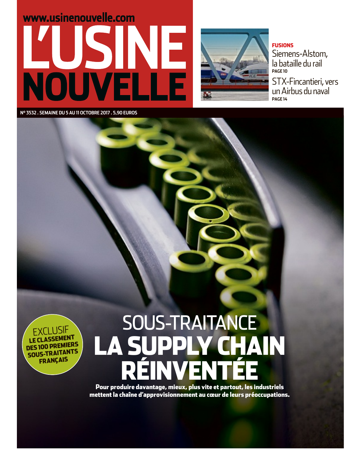



#### **FUSIONS**

Siemens-Alstom, la bataille du rail **PAGE 10 STX-Fincantieri**, vers un Airbus du naval PAGE 14

Nº 3532. SEMAINE DU 5 AU 11 OCTOBRE 2017. 5,90 EUROS

### I I ISIF **LE CLASSEMENT DES 100 PREMIERS SOUS-TRAITANTS FRANÇAIS**

# **SOUS-TRAITANCE** Y CHAIN **LA SUPP**

Pour produire davantage, mieux, plus vite et partout, les industriels mettent la chaîne d'approvisionnement au cœur de leurs préoccupations.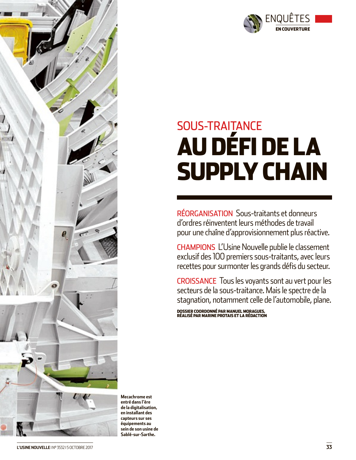

# **SOUS-TRAITANCE AU DÉFI DE LA SUPPLY CHAIN**

RÉORGANISATION Sous-traitants et donneurs d'ordres réinventent leurs méthodes de travail pour une chaîne d'approvisionnement plus réactive.

**CHAMPIONS L'Usine Nouvelle publie le classement** exclusif des 100 premiers sous-traitants, avec leurs recettes pour surmonter les grands défis du secteur.

**CROISSANCE** Tous les voyants sont au vert pour les secteurs de la sous-traitance. Mais le spectre de la stagnation, notamment celle de l'automobile, plane.

DOSSIER COORDONNÉ PAR MANUEL MORAGUES, RÉALISÉ PAR MARINE PROTAIS ET LA RÉDACTION



Mecachrome est entré dans l'ère de la digitalisation, en installant des capteurs sur ses équipements au sein de son usine de Sablé-sur-Sarthe.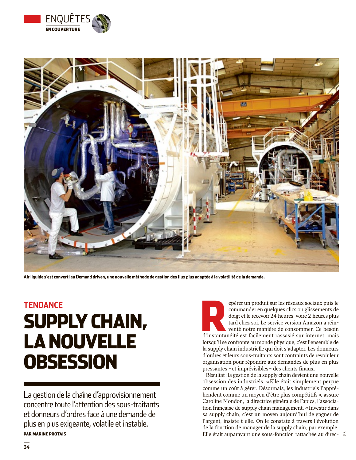



Air liquide s'est converti au Demand driven, une nouvelle méthode de gestion des flux plus adaptée à la volatilité de la demande.

## **TENDANCE SUPPLY CHAIN, LA NOUVELLE OBSESSION**

La gestion de la chaîne d'approvisionnement concentre toute l'attention des sous-traitants et donneurs d'ordres face à une demande de plus en plus exigeante, volatile et instable. **PAR MARINE PROTAIS** 

epérer un produit sur les réseaux sociaux puis le commander en quelques clics ou glissements de doigt et le recevoir 24 heures, voire 2 heures plus tard chez soi. Le service version Amazon a réinventé notre manière de consommer. Ce besoin d'instantanéité est facilement rassasié sur internet, mais lorsqu'il se confronte au monde physique, c'est l'ensemble de la supply chain industrielle qui doit s'adapter. Les donneurs d'ordres et leurs sous-traitants sont contraints de revoir leur organisation pour répondre aux demandes de plus en plus pressantes - et imprévisibles - des clients finaux.

Résultat: la gestion de la supply chain devient une nouvelle obsession des industriels. «Elle était simplement perçue comme un coût à gérer. Désormais, les industriels l'appréhendent comme un moyen d'être plus compétitifs», assure Caroline Mondon, la directrice générale de Fapics, l'association française de supply chain management. « Investir dans sa supply chain, c'est un moyen aujourd'hui de gagner de l'argent, insiste-t-elle. On le constate à travers l'évolution de la fonction de manager de la supply chain, par exemple. Elle était auparavant une sous-fonction rattachée au direc-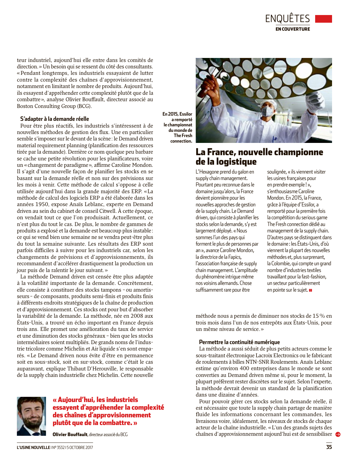

teur industriel, aujourd'hui elle entre dans les comités de direction. » Un besoin qui se ressent du côté des consultants. «Pendant longtemps, les industriels essayaient de lutter contre la complexité des chaînes d'approvisionnement. notamment en limitant le nombre de produits. Aujourd'hui, ils essayent d'appréhender cette complexité plutôt que de la combattre», analyse Olivier Bouffault, directeur associé au Boston Consulting Group (BCG).

#### S'adapter à la demande réelle

Pour être plus réactifs, les industriels s'intéressent à de nouvelles méthodes de gestion des flux. Une en particulier semble s'imposer sur le devant de la scène : le Demand driven material requirement planning (planification des ressources tirée par la demande). Derrière ce nom quelque peu barbare se cache une petite révolution pour les planificateurs, voire un «changement de paradigme», affirme Caroline Mondon. Il s'agit d'une nouvelle facon de planifier les stocks en se basant sur la demande réelle et non sur des prévisions sur les mois à venir. Cette méthode de calcul s'oppose à celle utilisée aujourd'hui dans la grande majorité des ERP. «La méthode de calcul des logiciels ERP a été élaborée dans les années 1950, expose Anaïs Leblanc, experte en Demand driven au sein du cabinet de conseil Citwell. À cette époque, on vendait tout ce que l'on produisait. Actuellement, ce n'est plus du tout le cas. De plus, le nombre de gammes de produits a explosé et la demande est beaucoup plus instable: ce qui se vend bien une semaine ne se vendra peut-être plus du tout la semaine suivante. Les résultats des ERP sont parfois difficiles à suivre pour les industriels car, selon les changements de prévisions et d'approvisionnements, ils recommandent d'accélérer drastiquement la production un jour puis de la ralentir le jour suivant.»

La méthode Demand driven est censée être plus adaptée à la volatilité importante de la demande. Concrètement, elle consiste à constituer des stocks tampons - ou amortisseurs - de composants, produits semi-finis et produits finis à différents endroits stratégiques de la chaîne de production et d'approvisionnement. Ces stocks ont pour but d'absorber la variabilité de la demande. La méthode, née en 2008 aux États-Unis, a trouvé un écho important en France depuis trois ans. Elle promet une amélioration du taux de service et une diminution des stocks généraux - bien que les stocks intermédiaires soient multipliés. De grands noms de l'industrie tricolore comme Michelin et Air liquide s'en sont emparés. «Le Demand driven nous évite d'être en permanence soit en sous-stock, soit en sur-stock, comme c'était le cas auparavant, explique Thibaut D'Herouville, le responsable de la supply chain industrielle chez Michelin. Cette nouvelle



#### « Aujourd'hui, les industriels essayent d'appréhender la complexité des chaînes d'approvisionnement plutôt que de la combattre. »

Olivier Bouffault, directeur associé du BCG

Fn 2015, Essilor a remporté le championnat du monde de The Fresh connection.



### La France, nouvelle championne de la logistique

L'Hexagone prend du galon en supply chain management. Pourtant peu reconnue dans le domaine jusqu'alors, la France devient pionnière pour les nouvelles approches de gestion de la supply chain. Le Demand driven, qui consiste à planifier les stocks selon la demande, s'v est largement déployé. « Nous sommes l'un des pays qui forment le plus de personnes par an », avance Caroline Mondon, la directrice de la Fapics, l'association française de supply chain management. L'amplitude du phénomène intrique même nos voisins allemands. Chose suffisamment rare pour être

soulignée, « ils viennent visiter les usines francaises pour en prendre exemple!», s'enthousiasme Caroline Mondon, En 2015, la France. grâce à l'équipe d'Essilor, a remporté pour la première fois la compétition du serious game The Fresh connection dédié au management de la supply chain. D'autres pays se distinguent dans le domaine : les États-Unis, d'où viennent la plupart des nouvelles méthodes et, plus surprenant, la Colombie, qui compte un grand nombre d'industries textiles travaillant pour la fast-fashion, un secteur particulièrement en pointe sur le sujet.

méthode nous a permis de diminuer nos stocks de 15% en trois mois dans l'un de nos entrepôts aux États-Unis, pour un même niveau de service.»

#### Permettre la continuité numérique

La méthode a aussi séduit de plus petits acteurs comme le sous-traitant électronique Lacroix Electronics ou le fabricant de roulements à billes NTN-SNR Roulements. Anaïs Leblanc estime qu'environ 400 entreprises dans le monde se sont converties au Demand driven même si, pour le moment, la plupart préfèrent rester discrètes sur le sujet. Selon l'experte, la méthode devrait devenir un standard de la planification dans une dizaine d'années.

Pour pouvoir gérer ces stocks selon la demande réelle, il est nécessaire que toute la supply chain partage de manière fluide les informations concernant les commandes, les livraisons voire, idéalement, les niveaux de stocks de chaque acteur de la chaîne industrielle. « L'un des grands sujets des chaînes d'approvisionnement aujourd'hui est de sensibiliser  $\bullet$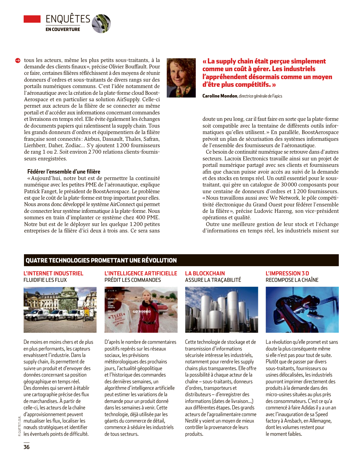

tous les acteurs, même les plus petits sous-traitants, à la demande des clients finaux», précise Olivier Bouffault. Pour ce faire, certaines filières réfléchissent à des moyens de réunir donneurs d'ordres et sous-traitants de divers rangs sur des portails numériques communs. C'est l'idée notamment de l'aéronautique avec la création de la plate-forme cloud Boost-Aerospace et en particulier sa solution AirSupply. Celle-ci permet aux acteurs de la filière de se connecter au même portail et d'accéder aux informations concernant commandes et livraisons en temps réel. Elle évite également les échanges de documents papiers qui ralentissent la supply chain. Tous les grands donneurs d'ordres et équipementiers de la filière française sont connectés: Airbus, Dassault, Thales, Safran, Lierhberr. Daher. Zodiac... S'v ajoutent 1200 fournisseurs de rang 1 ou 2. Soit environ 2 700 relations clients-fournisseurs enregistrées.

#### Fédérer l'ensemble d'une filière

«Aujourd'hui, notre but est de permettre la continuité numérique avec les petites PME de l'aéronautique, explique Patrick Fanget, le président de BoostAerospace. Le problème est que le coût de la plate-forme est trop important pour elles. Nous avons donc développé le système AirConnect qui permet de connecter leur système informatique à la plate-forme. Nous sommes en train d'implanter ce système chez 400 PME. Notre but est de le déployer sur les quelque 1200 petites entreprises de la filière d'ici deux à trois ans. Ce sera sans



Caroline Mondon, directrice générale de Fapics

doute un peu long, car il faut faire en sorte que la plate-forme soit compatible avec la trentaine de différents outils informatiques qu'elles utilisent. » En parallèle, BoostAerospace prévoit un plan de sécurisation des systèmes informatiques de l'ensemble des fournisseurs de l'aéronautique.

Ce besoin de continuité numérique se retrouve dans d'autres secteurs. Lacroix Electronics travaille ainsi sur un projet de portail numérique partagé avec ses clients et fournisseurs afin que chacun puisse avoir accès au suivi de la demande et des stocks en temps réel. Un outil essentiel pour le soustraitant, qui gère un catalogue de 30 000 composants pour une centaine de donneurs d'ordres et 1200 fournisseurs. «Nous travaillons aussi avec We Network, le pôle compétitivité électronique du Grand Ouest pour fédérer l'ensemble de la filière», précise Ludovic Hareng, son vice-président opérations et qualité.

Outre une meilleure gestion de leur stock et l'échange d'informations en temps réel, les industriels misent sur

#### **QUATRE TECHNOLOGIES PROMETTANT UNE RÉVOLUTION**

#### **L'INTERNET INDUSTRIEL FLUIDIFIE LES FLUX**

![](_page_4_Picture_11.jpeg)

De moins en moins chers et de plus en plus performants, les capteurs envahissent l'industrie. Dans la supply chain, ils permettent de suivre un produit et d'envoyer des données concernant sa position géographique en temps réel. Des données qui servent à établir une cartographie précise des flux de marchandises. À partir de celle-ci, les acteurs de la chaîne d'approvisionnement peuvent mutualiser les flux, localiser les nœuds stratégiques et identifier les éventuels points de difficulté.

**L'INTELLIGENCE ARTIFICIELLE** PRÉDIT LES COMMANDES

![](_page_4_Picture_14.jpeg)

D'après le nombre de commentaires positifs repérés sur les réseaux sociaux, les prévisions météorologiques des prochains jours, l'actualité géopolitique et l'historique des commandes des dernières semaines, un algorithme d'intelligence artificielle peut estimer les variations de la demande pour un produit donné dans les semaines à venir. Cette technologie, déjà utilisée par les géants du commerce de détail, commence à séduire les industriels de tous secteurs.

#### **LA BLOCKCHAIN** ASSURE LA TRACABILITÉ

![](_page_4_Picture_17.jpeg)

Cette technologie de stockage et de transmission d'informations sécurisée intéresse les industriels, notamment pour rendre les supply chains plus transparentes. Elle offre la possibilité à chaque acteur de la chaîne - sous-traitants, donneurs d'ordres, transporteurs et distributeurs - d'enregistrer des informations (dates de livraison...) aux différentes étapes. Des grands acteurs de l'agroalimentaire comme Nestlé y voient un moyen de mieux contrôler la provenance de leurs produits.

#### L'IMPRESSION 3 D RECOMPOSE LA CHAÎNE

![](_page_4_Picture_20.jpeg)

La révolution qu'elle promet est sans doute la plus conséquente même si elle n'est pas pour tout de suite. Plutôt que de passer par divers sous-traitants, fournisseurs ou usines délocalisées, les industriels pourront imprimer directement des produits à la demande dans des micro-usines situées au plus près des consommateurs. C'est ce qu'a commencé à faire Adidas il y a un an avec l'inauguration de sa Speed factory à Ansbach, en Allemagne, dont les volumes restent pour le moment faibles.